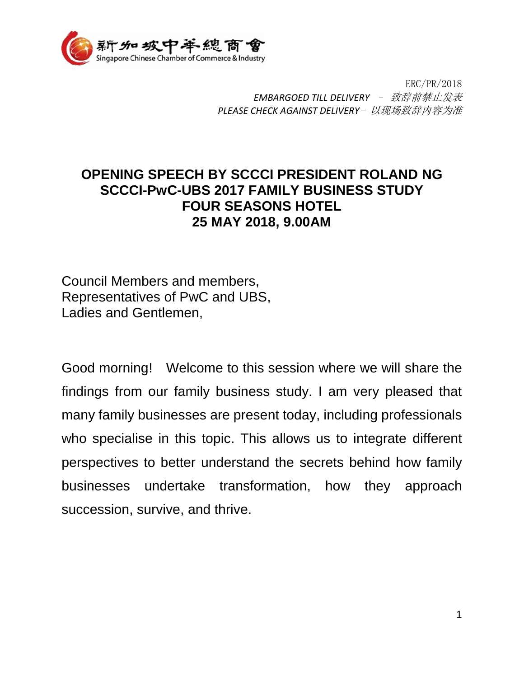

ERC/PR/2018 *EMBARGOED TILL DELIVERY* – 致辞前禁止发表 *PLEASE CHECK AGAINST DELIVERY*- 以现场致辞内容为准

## **OPENING SPEECH BY SCCCI PRESIDENT ROLAND NG SCCCI-PwC-UBS 2017 FAMILY BUSINESS STUDY FOUR SEASONS HOTEL 25 MAY 2018, 9.00AM**

Council Members and members, Representatives of PwC and UBS, Ladies and Gentlemen,

Good morning! Welcome to this session where we will share the findings from our family business study. I am very pleased that many family businesses are present today, including professionals who specialise in this topic. This allows us to integrate different perspectives to better understand the secrets behind how family businesses undertake transformation, how they approach succession, survive, and thrive.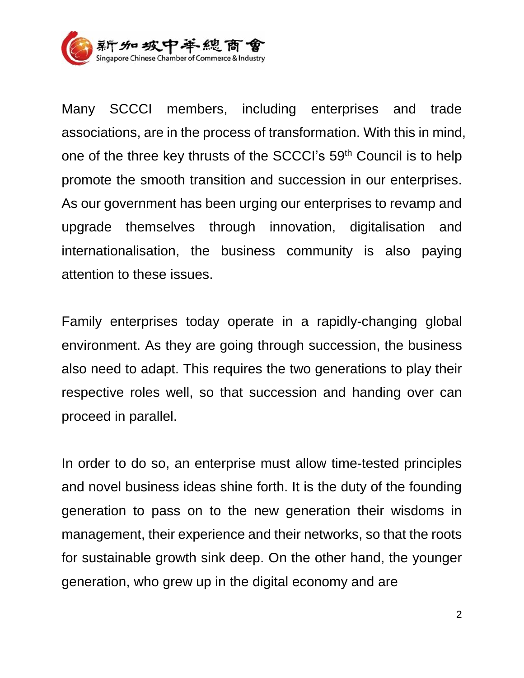

Many SCCCI members, including enterprises and trade associations, are in the process of transformation. With this in mind, one of the three key thrusts of the SCCCI's 59th Council is to help promote the smooth transition and succession in our enterprises. As our government has been urging our enterprises to revamp and upgrade themselves through innovation, digitalisation and internationalisation, the business community is also paying attention to these issues.

Family enterprises today operate in a rapidly-changing global environment. As they are going through succession, the business also need to adapt. This requires the two generations to play their respective roles well, so that succession and handing over can proceed in parallel.

In order to do so, an enterprise must allow time-tested principles and novel business ideas shine forth. It is the duty of the founding generation to pass on to the new generation their wisdoms in management, their experience and their networks, so that the roots for sustainable growth sink deep. On the other hand, the younger generation, who grew up in the digital economy and are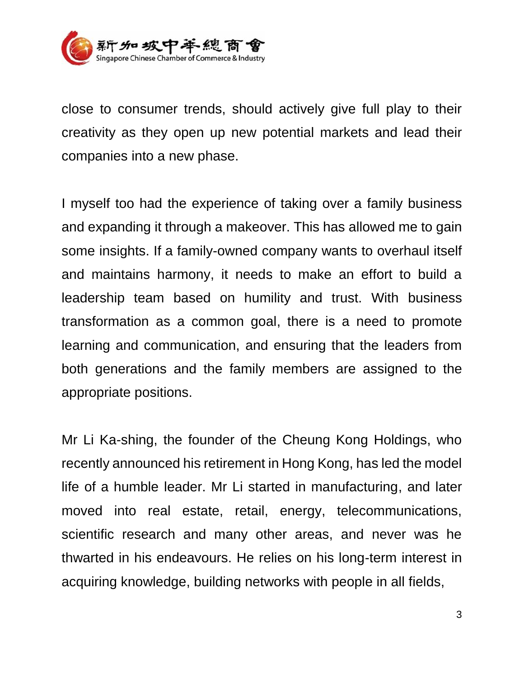

close to consumer trends, should actively give full play to their creativity as they open up new potential markets and lead their companies into a new phase.

I myself too had the experience of taking over a family business and expanding it through a makeover. This has allowed me to gain some insights. If a family-owned company wants to overhaul itself and maintains harmony, it needs to make an effort to build a leadership team based on humility and trust. With business transformation as a common goal, there is a need to promote learning and communication, and ensuring that the leaders from both generations and the family members are assigned to the appropriate positions.

Mr Li Ka-shing, the founder of the Cheung Kong Holdings, who recently announced his retirement in Hong Kong, has led the model life of a humble leader. Mr Li started in manufacturing, and later moved into real estate, retail, energy, telecommunications, scientific research and many other areas, and never was he thwarted in his endeavours. He relies on his long-term interest in acquiring knowledge, building networks with people in all fields,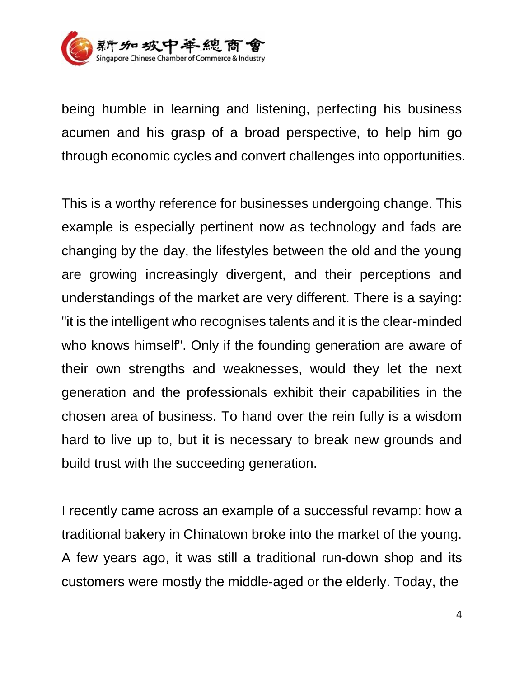

being humble in learning and listening, perfecting his business acumen and his grasp of a broad perspective, to help him go through economic cycles and convert challenges into opportunities.

This is a worthy reference for businesses undergoing change. This example is especially pertinent now as technology and fads are changing by the day, the lifestyles between the old and the young are growing increasingly divergent, and their perceptions and understandings of the market are very different. There is a saying: "it is the intelligent who recognises talents and it is the clear-minded who knows himself". Only if the founding generation are aware of their own strengths and weaknesses, would they let the next generation and the professionals exhibit their capabilities in the chosen area of business. To hand over the rein fully is a wisdom hard to live up to, but it is necessary to break new grounds and build trust with the succeeding generation.

I recently came across an example of a successful revamp: how a traditional bakery in Chinatown broke into the market of the young. A few years ago, it was still a traditional run-down shop and its customers were mostly the middle-aged or the elderly. Today, the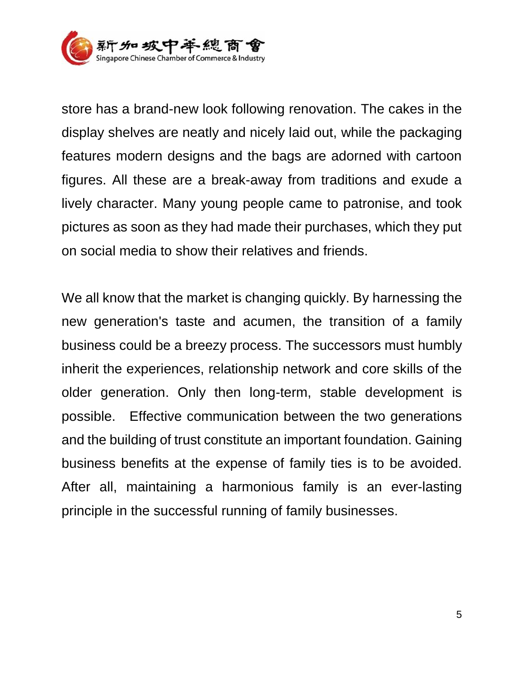

store has a brand-new look following renovation. The cakes in the display shelves are neatly and nicely laid out, while the packaging features modern designs and the bags are adorned with cartoon figures. All these are a break-away from traditions and exude a lively character. Many young people came to patronise, and took pictures as soon as they had made their purchases, which they put on social media to show their relatives and friends.

We all know that the market is changing quickly. By harnessing the new generation's taste and acumen, the transition of a family business could be a breezy process. The successors must humbly inherit the experiences, relationship network and core skills of the older generation. Only then long-term, stable development is possible. Effective communication between the two generations and the building of trust constitute an important foundation. Gaining business benefits at the expense of family ties is to be avoided. After all, maintaining a harmonious family is an ever-lasting principle in the successful running of family businesses.